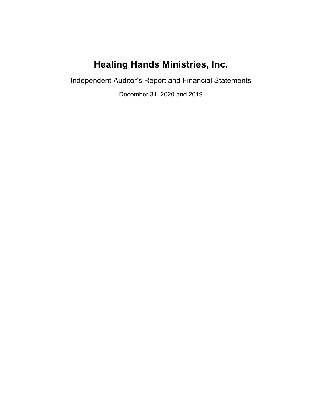# **Healing Hands Ministries, Inc.**

Independent Auditor's Report and Financial Statements

December 31, 2020 and 2019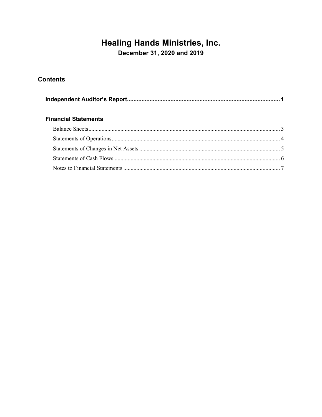# **Healing Hands Ministries, Inc.** December 31, 2020 and 2019

### **Contents**

| <b>Financial Statements</b> |  |
|-----------------------------|--|
|                             |  |
|                             |  |
|                             |  |
|                             |  |
|                             |  |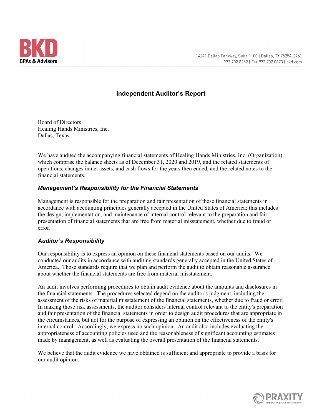

### **Independent Auditor's Report**

Board of Directors Healing Hands Ministries, Inc. Dallas, Texas

We have audited the accompanying financial statements of Healing Hands Ministries, Inc. (Organization) which comprise the balance sheets as of December 31, 2020 and 2019, and the related statements of operations, changes in net assets, and cash flows for the years then ended, and the related notes to the financial statements.

### *Management's Responsibility for the Financial Statements*

Management is responsible for the preparation and fair presentation of these financial statements in accordance with accounting principles generally accepted in the United States of America; this includes the design, implementation, and maintenance of internal control relevant to the preparation and fair presentation of financial statements that are free from material misstatement, whether due to fraud or error.

### *Auditor's Responsibility*

Our responsibility is to express an opinion on these financial statements based on our audits. We conducted our audits in accordance with auditing standards generally accepted in the United States of America. Those standards require that we plan and perform the audit to obtain reasonable assurance about whether the financial statements are free from material misstatement.

An audit involves performing procedures to obtain audit evidence about the amounts and disclosures in the financial statements. The procedures selected depend on the auditor's judgment, including the assessment of the risks of material misstatement of the financial statements, whether due to fraud or error. In making those risk assessments, the auditor considers internal control relevant to the entity's preparation and fair presentation of the financial statements in order to design audit procedures that are appropriate in the circumstances, but not for the purpose of expressing an opinion on the effectiveness of the entity's internal control. Accordingly, we express no such opinion. An audit also includes evaluating the appropriateness of accounting policies used and the reasonableness of significant accounting estimates made by management, as well as evaluating the overall presentation of the financial statements.

We believe that the audit evidence we have obtained is sufficient and appropriate to provide a basis for our audit opinion.

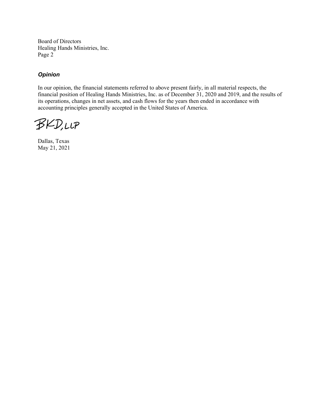Board of Directors Healing Hands Ministries, Inc. Page 2

#### *Opinion*

In our opinion, the financial statements referred to above present fairly, in all material respects, the financial position of Healing Hands Ministries, Inc. as of December 31, 2020 and 2019, and the results of its operations, changes in net assets, and cash flows for the years then ended in accordance with accounting principles generally accepted in the United States of America.

**BKD,LLP** 

Dallas, Texas May 21, 2021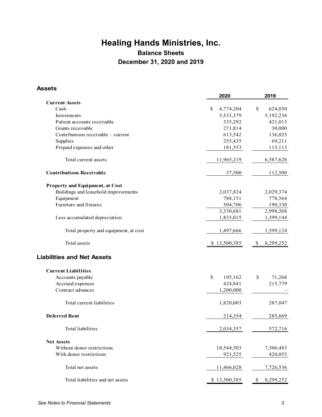# **Healing Hands Ministries, Inc.**

### **Balance Sheets December 31, 2020 and 2019**

#### **Assets**

|                                        | 2020            | 2019            |
|----------------------------------------|-----------------|-----------------|
| <b>Current Assets</b>                  |                 |                 |
| Cash                                   | \$<br>4,774,204 | \$<br>624,030   |
| Investments                            | 5,533,379       | 5,192,236       |
| Patient accounts receivable            | 335,292         | 421,013         |
| Grants receivable                      | 271,814         | 30,000          |
| Contributions receivable - current     | 613,542         | 136,025         |
| Supplies                               | 255,435         | 69,211          |
| Prepaid expenses and other             | 181,553         | 115,113         |
| Total current assets                   | 11,965,219      | 6,587,628       |
| <b>Contributions Receivable</b>        | 37,500          | 112,500         |
| <b>Property and Equipment, at Cost</b> |                 |                 |
| Buildings and leasehold improvements   | 2,037,824       | 2,029,374       |
| Equipment                              | 788,151         | 778,564         |
| Furniture and fixtures                 | 504,706         | 190,330         |
|                                        | 3,330,681       | 2,998,268       |
| Less accumulated depreciation          | 1,833,015       | 1,399,144       |
| Total property and equipment, at cost  | 1,497,666       | 1,599,124       |
| Total assets                           | \$13,500,385    | 8,299,252<br>\$ |
| <b>Liabilities and Net Assets</b>      |                 |                 |
| <b>Current Liabilities</b>             |                 |                 |
| Accounts payable                       | \$<br>195,162   | \$<br>71,268    |
| Accrued expenses                       | 424,841         | 215,779         |
| Contract advances                      | 1,200,000       |                 |
| Total current liabilities              | 1,820,003       | 287,047         |
| <b>Deferred Rent</b>                   | 214,354         | 285,669         |
| Total liabilities                      | 2,034,357       | 572,716         |
| <b>Net Assets</b>                      |                 |                 |
| Without donor restrictions             | 10,544,503      | 7,306,483       |
| With donor restrictions                | 921,525         | 420,053         |
| Total net assets                       | 11,466,028      | 7,726,536       |
| Total liabilities and net assets       | \$13,500,385    | 8,299,252<br>S  |
|                                        |                 |                 |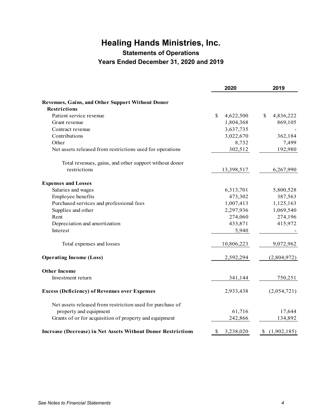# **Healing Hands Ministries, Inc. Statements of Operations Years Ended December 31, 2020 and 2019**

|                                                                                | 2020                      | 2019            |
|--------------------------------------------------------------------------------|---------------------------|-----------------|
|                                                                                |                           |                 |
| <b>Revenues, Gains, and Other Support Without Donor</b><br><b>Restrictions</b> |                           |                 |
| Patient service revenue                                                        | $\mathbb{S}$<br>4,622,500 | \$<br>4,836,222 |
| Grant revenue                                                                  | 1,804,368                 | 869,105         |
| Contract revenue                                                               | 3,637,735                 |                 |
| Contributions                                                                  | 3,022,670                 | 362,184         |
| Other                                                                          | 8,732                     | 7,499           |
| Net assets released from restrictions used for operations                      | 302,512                   | 192,980         |
| Total revenues, gains, and other support without donor                         |                           |                 |
| restrictions                                                                   | 13,398,517                | 6,267,990       |
| <b>Expenses and Losses</b>                                                     |                           |                 |
| Salaries and wages                                                             | 6,313,701                 | 5,800,528       |
| Employee benefits                                                              | 473,302                   | 387,563         |
| Purchased services and professional fees                                       | 1,007,413                 | 1,125,163       |
| Supplies and other                                                             | 2,297,936                 | 1,069,540       |
| Rent                                                                           | 274,060                   | 274,196         |
| Depreciation and amortization                                                  | 433,871                   | 415,972         |
| Interest                                                                       | 5,940                     |                 |
| Total expenses and losses                                                      | 10,806,223                | 9,072,962       |
| <b>Operating Income (Loss)</b>                                                 | 2,592,294                 | (2,804,972)     |
| <b>Other Income</b>                                                            |                           |                 |
| Investment return                                                              | 341,144                   | 750,251         |
| <b>Excess (Deficiency) of Revenues over Expenses</b>                           | 2,933,438                 | (2,054,721)     |
| Net assets released from restriction used for purchase of                      |                           |                 |
| property and equipment                                                         | 61,716                    | 17,644          |
| Grants of or for acquisition of property and equipment                         | 242,866                   | 134,892         |
| Increase (Decrease) in Net Assets Without Donor Restrictions                   | 3,238,020<br>S            | (1,902,185)     |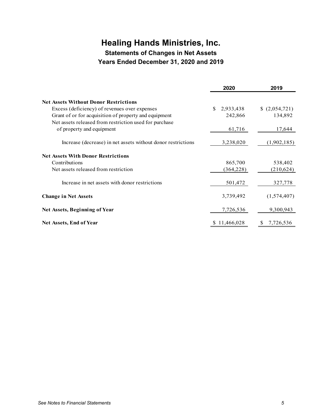# **Healing Hands Ministries, Inc. Statements of Changes in Net Assets Years Ended December 31, 2020 and 2019**

|                                                              | 2020             | 2019        |
|--------------------------------------------------------------|------------------|-------------|
| <b>Net Assets Without Donor Restrictions</b>                 |                  |             |
| Excess (deficiency) of revenues over expenses                | \$.<br>2,933,438 | (2,054,721) |
| Grant of or for acquisition of property and equipment        | 242,866          | 134,892     |
| Net assets released from restriction used for purchase       |                  |             |
| of property and equipment                                    | 61,716           | 17,644      |
| Increase (decrease) in net assets without donor restrictions | 3,238,020        | (1,902,185) |
| <b>Net Assets With Donor Restrictions</b>                    |                  |             |
| Contributions                                                | 865,700          | 538,402     |
| Net assets released from restriction                         | (364,228)        | (210, 624)  |
| Increase in net assets with donor restrictions               | 501,472          | 327,778     |
| <b>Change in Net Assets</b>                                  | 3,739,492        | (1,574,407) |
| Net Assets, Beginning of Year                                | 7,726,536        | 9,300,943   |
| Net Assets, End of Year                                      | 11,466,028       | 7,726,536   |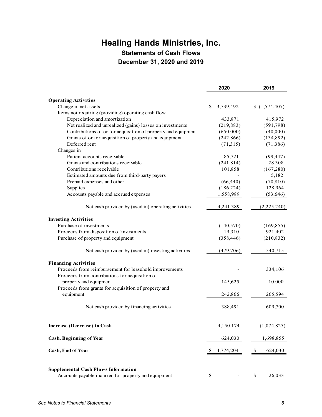# **Healing Hands Ministries, Inc. Statements of Cash Flows December 31, 2020 and 2019**

|                                                               | 2020            | 2019          |
|---------------------------------------------------------------|-----------------|---------------|
|                                                               |                 |               |
| <b>Operating Activities</b>                                   |                 |               |
| Change in net assets                                          | \$<br>3,739,492 | \$(1,574,407) |
| Items not requiring (providing) operating cash flow           |                 |               |
| Depreciation and amortization                                 | 433,871         | 415,972       |
| Net realized and unrealized (gains) losses on investments     | (219, 883)      | (591, 798)    |
| Contributions of or for acquisition of property and equipment | (650,000)       | (40,000)      |
| Grants of or for acquisition of property and equipment        | (242, 866)      | (134, 892)    |
| Deferred rent                                                 | (71, 315)       | (71, 386)     |
| Changes in                                                    |                 |               |
| Patient accounts receivable                                   | 85,721          | (99, 447)     |
| Grants and contributions receivable                           | (241, 814)      | 28,308        |
| Contributions receivable                                      | 101,858         | (167, 280)    |
| Estimated amounts due from third-party payers                 |                 | 5,182         |
| Prepaid expenses and other                                    | (66, 440)       | (70, 810)     |
| Supplies                                                      | (186, 224)      | 128,964       |
| Accounts payable and accrued expenses                         | 1,558,989       | (53, 646)     |
|                                                               |                 |               |
| Net cash provided by (used in) operating activities           | 4,241,389       | (2,225,240)   |
| <b>Investing Activities</b>                                   |                 |               |
| Purchase of investments                                       | (140, 570)      | (169, 855)    |
| Proceeds from disposition of investments                      | 19,310          | 921,402       |
| Purchase of property and equipment                            | (358, 446)      | (210, 832)    |
| Net cash provided by (used in) investing activities           | (479,706)       | 540,715       |
| <b>Financing Activities</b>                                   |                 |               |
| Proceeds from reimbursement for leasehold improvements        |                 | 334,106       |
| Proceeds from contributions for acquisition of                |                 |               |
| property and equipment                                        | 145,625         | 10,000        |
| Proceeds from grants for acquisition of property and          |                 |               |
|                                                               |                 |               |
| equipment                                                     | 242,866         | 265,594       |
| Net cash provided by financing activities                     | 388,491         | 609,700       |
| Increase (Decrease) in Cash                                   | 4,150,174       | (1,074,825)   |
|                                                               |                 |               |
| <b>Cash, Beginning of Year</b>                                | 624,030         | 1,698,855     |
| Cash, End of Year                                             | \$<br>4,774,204 | \$<br>624,030 |
|                                                               |                 |               |
| <b>Supplemental Cash Flows Information</b>                    |                 |               |
| Accounts payable incurred for property and equipment          | \$              | 26,033<br>\$  |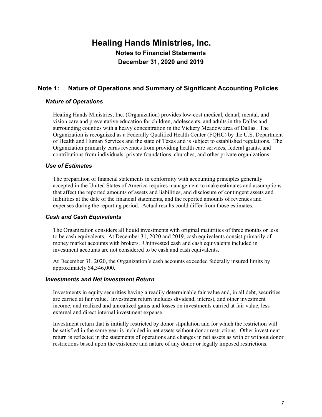### **Note 1: Nature of Operations and Summary of Significant Accounting Policies**

#### *Nature of Operations*

Healing Hands Ministries, Inc. (Organization) provides low-cost medical, dental, mental, and vision care and preventative education for children, adolescents, and adults in the Dallas and surrounding counties with a heavy concentration in the Vickery Meadow area of Dallas. The Organization is recognized as a Federally Qualified Health Center (FQHC) by the U.S. Department of Health and Human Services and the state of Texas and is subject to established regulations. The Organization primarily earns revenues from providing health care services, federal grants, and contributions from individuals, private foundations, churches, and other private organizations.

#### *Use of Estimates*

The preparation of financial statements in conformity with accounting principles generally accepted in the United States of America requires management to make estimates and assumptions that affect the reported amounts of assets and liabilities, and disclosure of contingent assets and liabilities at the date of the financial statements, and the reported amounts of revenues and expenses during the reporting period. Actual results could differ from those estimates.

#### *Cash and Cash Equivalents*

The Organization considers all liquid investments with original maturities of three months or less to be cash equivalents. At December 31, 2020 and 2019, cash equivalents consist primarily of money market accounts with brokers. Uninvested cash and cash equivalents included in investment accounts are not considered to be cash and cash equivalents.

At December 31, 2020, the Organization's cash accounts exceeded federally insured limits by approximately \$4,346,000.

#### *Investments and Net Investment Return*

Investments in equity securities having a readily determinable fair value and, in all debt, securities are carried at fair value. Investment return includes dividend, interest, and other investment income; and realized and unrealized gains and losses on investments carried at fair value, less external and direct internal investment expense.

Investment return that is initially restricted by donor stipulation and for which the restriction will be satisfied in the same year is included in net assets without donor restrictions. Other investment return is reflected in the statements of operations and changes in net assets as with or without donor restrictions based upon the existence and nature of any donor or legally imposed restrictions.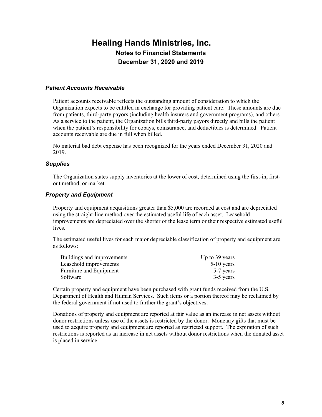#### *Patient Accounts Receivable*

Patient accounts receivable reflects the outstanding amount of consideration to which the Organization expects to be entitled in exchange for providing patient care. These amounts are due from patients, third-party payors (including health insurers and government programs), and others. As a service to the patient, the Organization bills third-party payors directly and bills the patient when the patient's responsibility for copays, coinsurance, and deductibles is determined. Patient accounts receivable are due in full when billed.

No material bad debt expense has been recognized for the years ended December 31, 2020 and 2019.

#### *Supplies*

The Organization states supply inventories at the lower of cost, determined using the first-in, firstout method, or market.

#### *Property and Equipment*

Property and equipment acquisitions greater than \$5,000 are recorded at cost and are depreciated using the straight-line method over the estimated useful life of each asset. Leasehold improvements are depreciated over the shorter of the lease term or their respective estimated useful lives.

The estimated useful lives for each major depreciable classification of property and equipment are as follows:

| Buildings and improvements | Up to 39 years |
|----------------------------|----------------|
| Leasehold improvements     | $5-10$ years   |
| Furniture and Equipment    | 5-7 years      |
| Software                   | 3-5 years      |

Certain property and equipment have been purchased with grant funds received from the U.S. Department of Health and Human Services. Such items or a portion thereof may be reclaimed by the federal government if not used to further the grant's objectives.

Donations of property and equipment are reported at fair value as an increase in net assets without donor restrictions unless use of the assets is restricted by the donor. Monetary gifts that must be used to acquire property and equipment are reported as restricted support. The expiration of such restrictions is reported as an increase in net assets without donor restrictions when the donated asset is placed in service.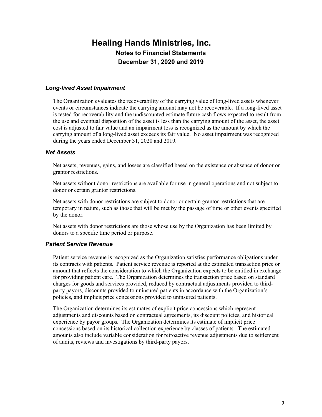#### *Long-lived Asset Impairment*

The Organization evaluates the recoverability of the carrying value of long-lived assets whenever events or circumstances indicate the carrying amount may not be recoverable. If a long-lived asset is tested for recoverability and the undiscounted estimate future cash flows expected to result from the use and eventual disposition of the asset is less than the carrying amount of the asset, the asset cost is adjusted to fair value and an impairment loss is recognized as the amount by which the carrying amount of a long-lived asset exceeds its fair value. No asset impairment was recognized during the years ended December 31, 2020 and 2019.

#### *Net Assets*

Net assets, revenues, gains, and losses are classified based on the existence or absence of donor or grantor restrictions.

Net assets without donor restrictions are available for use in general operations and not subject to donor or certain grantor restrictions.

Net assets with donor restrictions are subject to donor or certain grantor restrictions that are temporary in nature, such as those that will be met by the passage of time or other events specified by the donor.

Net assets with donor restrictions are those whose use by the Organization has been limited by donors to a specific time period or purpose.

#### *Patient Service Revenue*

Patient service revenue is recognized as the Organization satisfies performance obligations under its contracts with patients. Patient service revenue is reported at the estimated transaction price or amount that reflects the consideration to which the Organization expects to be entitled in exchange for providing patient care. The Organization determines the transaction price based on standard charges for goods and services provided, reduced by contractual adjustments provided to thirdparty payors, discounts provided to uninsured patients in accordance with the Organization's policies, and implicit price concessions provided to uninsured patients.

The Organization determines its estimates of explicit price concessions which represent adjustments and discounts based on contractual agreements, its discount policies, and historical experience by payor groups. The Organization determines its estimate of implicit price concessions based on its historical collection experience by classes of patients. The estimated amounts also include variable consideration for retroactive revenue adjustments due to settlement of audits, reviews and investigations by third-party payors.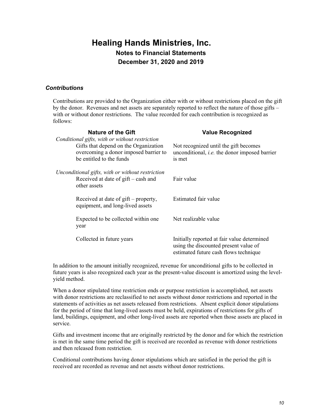### *Contributions*

Contributions are provided to the Organization either with or without restrictions placed on the gift by the donor. Revenues and net assets are separately reported to reflect the nature of those gifts – with or without donor restrictions. The value recorded for each contribution is recognized as follows:

| Nature of the Gift                                                                                                                                           | <b>Value Recognized</b>                                                                                                       |
|--------------------------------------------------------------------------------------------------------------------------------------------------------------|-------------------------------------------------------------------------------------------------------------------------------|
| Conditional gifts, with or without restriction<br>Gifts that depend on the Organization<br>overcoming a donor imposed barrier to<br>be entitled to the funds | Not recognized until the gift becomes<br>unconditional, <i>i.e.</i> the donor imposed barrier<br>is met                       |
| Unconditional gifts, with or without restriction<br>Received at date of $g$ ift – cash and<br>other assets                                                   | Fair value                                                                                                                    |
| Received at date of $g$ ift – property,<br>equipment, and long-lived assets                                                                                  | Estimated fair value                                                                                                          |
| Expected to be collected within one<br>year                                                                                                                  | Net realizable value                                                                                                          |
| Collected in future years                                                                                                                                    | Initially reported at fair value determined<br>using the discounted present value of<br>estimated future cash flows technique |

In addition to the amount initially recognized, revenue for unconditional gifts to be collected in future years is also recognized each year as the present-value discount is amortized using the levelyield method.

When a donor stipulated time restriction ends or purpose restriction is accomplished, net assets with donor restrictions are reclassified to net assets without donor restrictions and reported in the statements of activities as net assets released from restrictions. Absent explicit donor stipulations for the period of time that long-lived assets must be held, expirations of restrictions for gifts of land, buildings, equipment, and other long-lived assets are reported when those assets are placed in service.

Gifts and investment income that are originally restricted by the donor and for which the restriction is met in the same time period the gift is received are recorded as revenue with donor restrictions and then released from restriction.

Conditional contributions having donor stipulations which are satisfied in the period the gift is received are recorded as revenue and net assets without donor restrictions.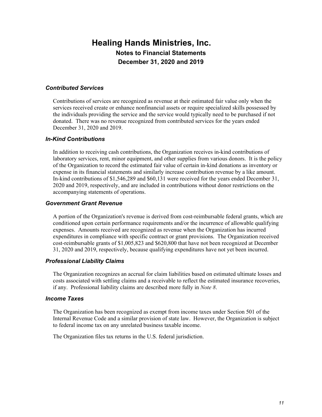#### *Contributed Services*

Contributions of services are recognized as revenue at their estimated fair value only when the services received create or enhance nonfinancial assets or require specialized skills possessed by the individuals providing the service and the service would typically need to be purchased if not donated. There was no revenue recognized from contributed services for the years ended December 31, 2020 and 2019.

#### *In-Kind Contributions*

In addition to receiving cash contributions, the Organization receives in-kind contributions of laboratory services, rent, minor equipment, and other supplies from various donors. It is the policy of the Organization to record the estimated fair value of certain in-kind donations as inventory or expense in its financial statements and similarly increase contribution revenue by a like amount. In-kind contributions of \$1,546,289 and \$60,131 were received for the years ended December 31, 2020 and 2019, respectively, and are included in contributions without donor restrictions on the accompanying statements of operations.

#### *Government Grant Revenue*

A portion of the Organization's revenue is derived from cost-reimbursable federal grants, which are conditioned upon certain performance requirements and/or the incurrence of allowable qualifying expenses. Amounts received are recognized as revenue when the Organization has incurred expenditures in compliance with specific contract or grant provisions. The Organization received cost-reimbursable grants of \$1,005,823 and \$620,800 that have not been recognized at December 31, 2020 and 2019, respectively, because qualifying expenditures have not yet been incurred.

#### *Professional Liability Claims*

The Organization recognizes an accrual for claim liabilities based on estimated ultimate losses and costs associated with settling claims and a receivable to reflect the estimated insurance recoveries, if any. Professional liability claims are described more fully in *Note 8*.

#### *Income Taxes*

The Organization has been recognized as exempt from income taxes under Section 501 of the Internal Revenue Code and a similar provision of state law. However, the Organization is subject to federal income tax on any unrelated business taxable income.

The Organization files tax returns in the U.S. federal jurisdiction.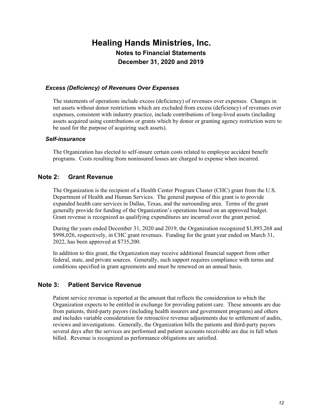#### *Excess (Deficiency) of Revenues Over Expenses*

The statements of operations include excess (deficiency) of revenues over expenses. Changes in net assets without donor restrictions which are excluded from excess (deficiency) of revenues over expenses, consistent with industry practice, include contributions of long-lived assets (including assets acquired using contributions or grants which by donor or granting agency restriction were to be used for the purpose of acquiring such assets).

#### *Self-insurance*

The Organization has elected to self-insure certain costs related to employee accident benefit programs. Costs resulting from noninsured losses are charged to expense when incurred.

#### **Note 2: Grant Revenue**

The Organization is the recipient of a Health Center Program Cluster (CHC) grant from the U.S. Department of Health and Human Services. The general purpose of this grant is to provide expanded health care services in Dallas, Texas, and the surrounding area. Terms of the grant generally provide for funding of the Organization's operations based on an approved budget. Grant revenue is recognized as qualifying expenditures are incurred over the grant period.

During the years ended December 31, 2020 and 2019, the Organization recognized \$1,893,268 and \$998,026, respectively, in CHC grant revenues. Funding for the grant year ended on March 31, 2022, has been approved at \$735,200.

In addition to this grant, the Organization may receive additional financial support from other federal, state, and private sources. Generally, such support requires compliance with terms and conditions specified in grant agreements and must be renewed on an annual basis.

#### **Note 3: Patient Service Revenue**

Patient service revenue is reported at the amount that reflects the consideration to which the Organization expects to be entitled in exchange for providing patient care. These amounts are due from patients, third-party payors (including health insurers and government programs) and others and includes variable consideration for retroactive revenue adjustments due to settlement of audits, reviews and investigations. Generally, the Organization bills the patients and third-party payors several days after the services are performed and patient accounts receivable are due in full when billed. Revenue is recognized as performance obligations are satisfied.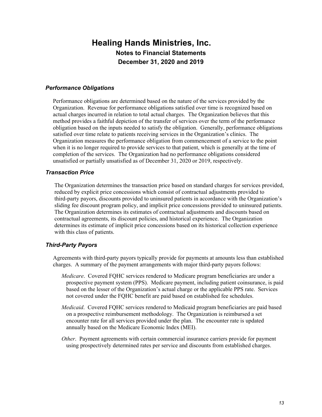#### *Performance Obligations*

Performance obligations are determined based on the nature of the services provided by the Organization. Revenue for performance obligations satisfied over time is recognized based on actual charges incurred in relation to total actual charges. The Organization believes that this method provides a faithful depiction of the transfer of services over the term of the performance obligation based on the inputs needed to satisfy the obligation. Generally, performance obligations satisfied over time relate to patients receiving services in the Organization's clinics. The Organization measures the performance obligation from commencement of a service to the point when it is no longer required to provide services to that patient, which is generally at the time of completion of the services. The Organization had no performance obligations considered unsatisfied or partially unsatisfied as of December 31, 2020 or 2019, respectively.

#### *Transaction Price*

The Organization determines the transaction price based on standard charges for services provided, reduced by explicit price concessions which consist of contractual adjustments provided to third-party payors, discounts provided to uninsured patients in accordance with the Organization's sliding fee discount program policy, and implicit price concessions provided to uninsured patients. The Organization determines its estimates of contractual adjustments and discounts based on contractual agreements, its discount policies, and historical experience. The Organization determines its estimate of implicit price concessions based on its historical collection experience with this class of patients.

#### *Third-Party Payors*

Agreements with third-party payors typically provide for payments at amounts less than established charges. A summary of the payment arrangements with major third-party payors follows:

- *Medicare*.Covered FQHC services rendered to Medicare program beneficiaries are under a prospective payment system (PPS). Medicare payment, including patient coinsurance, is paid based on the lesser of the Organization's actual charge or the applicable PPS rate. Services not covered under the FQHC benefit are paid based on established fee schedules.
- *Medicaid*. Covered FQHC services rendered to Medicaid program beneficiaries are paid based on a prospective reimbursement methodology. The Organization is reimbursed a set encounter rate for all services provided under the plan. The encounter rate is updated annually based on the Medicare Economic Index (MEI).
- *Other*. Payment agreements with certain commercial insurance carriers provide for payment using prospectively determined rates per service and discounts from established charges.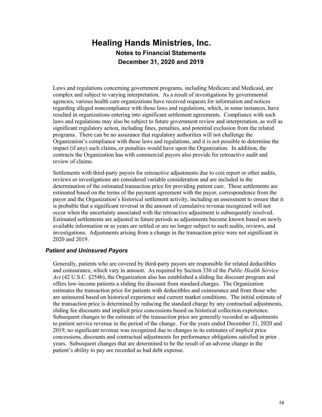Laws and regulations concerning government programs, including Medicare and Medicaid, are complex and subject to varying interpretation. As a result of investigations by governmental agencies, various health care organizations have received requests for information and notices regarding alleged noncompliance with those laws and regulations, which, in some instances, have resulted in organizations entering into significant settlement agreements. Compliance with such laws and regulations may also be subject to future government review and interpretation, as well as significant regulatory action, including fines, penalties, and potential exclusion from the related programs. There can be no assurance that regulatory authorities will not challenge the Organization's compliance with these laws and regulations, and it is not possible to determine the impact (if any) such claims, or penalties would have upon the Organization. In addition, the contracts the Organization has with commercial payors also provide for retroactive audit and review of claims.

Settlements with third-party payors for retroactive adjustments due to cost report or other audits, reviews or investigations are considered variable consideration and are included in the determination of the estimated transaction price for providing patient care. These settlements are estimated based on the terms of the payment agreement with the payor, correspondence from the payor and the Organization's historical settlement activity, including an assessment to ensure that it is probable that a significant reversal in the amount of cumulative revenue recognized will not occur when the uncertainty associated with the retroactive adjustment is subsequently resolved. Estimated settlements are adjusted in future periods as adjustments become known based on newly available information or as years are settled or are no longer subject to such audits, reviews, and investigations. Adjustments arising from a change in the transaction price were not significant in 2020 and 2019.

#### *Patient and Uninsured Payors*

Generally, patients who are covered by third-party payors are responsible for related deductibles and coinsurance, which vary in amount. As required by Section 330 of the *Public Health Service Act* (42 U.S.C. §254b), the Organization also has established a sliding fee discount program and offers low-income patients a sliding fee discount from standard charges. The Organization estimates the transaction price for patients with deductibles and coinsurance and from those who are uninsured based on historical experience and current market conditions. The initial estimate of the transaction price is determined by reducing the standard charge by any contractual adjustments, sliding fee discounts and implicit price concessions based on historical collection experience. Subsequent changes to the estimate of the transaction price are generally recorded as adjustments to patient service revenue in the period of the change. For the years ended December 31, 2020 and 2019, no significant revenue was recognized due to changes in its estimates of implicit price concessions, discounts and contractual adjustments for performance obligations satisfied in prior years. Subsequent changes that are determined to be the result of an adverse change in the patient's ability to pay are recorded as bad debt expense.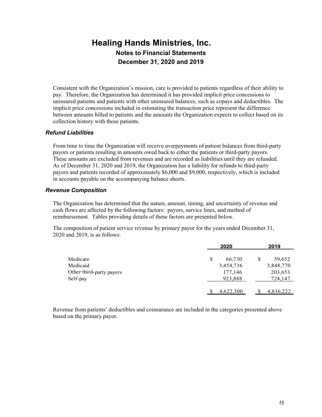Consistent with the Organization's mission, care is provided to patients regardless of their ability to pay. Therefore, the Organization has determined it has provided implicit price concessions to uninsured patients and patients with other uninsured balances, such as copays and deductibles. The implicit price concessions included in estimating the transaction price represent the difference between amounts billed to patients and the amounts the Organization expects to collect based on its collection history with those patients.

#### *Refund Liabilities*

From time to time the Organization will receive overpayments of patient balances from third-party payors or patients resulting in amounts owed back to either the patients or third-party payors. These amounts are excluded from revenues and are recorded as liabilities until they are refunded. As of December 31, 2020 and 2019, the Organization has a liability for refunds to third-party payors and patients recorded of approximately \$6,000 and \$9,000, respectively, which is included in accounts payable on the accompanying balance sheets.

#### *Revenue Composition*

The Organization has determined that the nature, amount, timing, and uncertainty of revenue and cash flows are affected by the following factors: payors, service lines, and method of reimbursement. Tables providing details of these factors are presented below.

The composition of patient service revenue by primary payor for the years ended December 31, 2020 and 2019, is as follows:

|                          | 2020 |           | 2019         |
|--------------------------|------|-----------|--------------|
| Medicare                 | S    | 66,730    | \$<br>59,652 |
| Medicaid                 |      | 3,454,736 | 3,848,770    |
| Other third-party payers |      | 177,146   | 203,653      |
| Self-pay                 |      | 923,888   | 724,147      |
|                          |      | 4,622,500 | 4,836,222    |
|                          |      |           |              |

Revenue from patients' deductibles and coinsurance are included in the categories presented above based on the primary payor.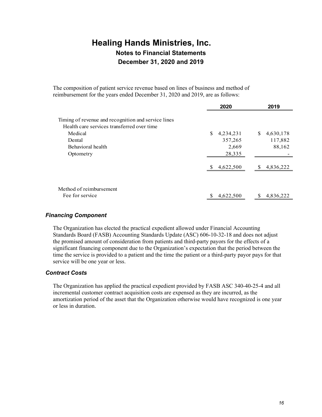The composition of patient service revenue based on lines of business and method of reimbursement for the years ended December 31, 2020 and 2019, are as follows:

|                                                                                                                                                          | 2020                                          | 2019                                 |
|----------------------------------------------------------------------------------------------------------------------------------------------------------|-----------------------------------------------|--------------------------------------|
| Timing of revenue and recognition and service lines<br>Health care services transferred over time<br>Medical<br>Dental<br>Behavioral health<br>Optometry | S.<br>4,234,231<br>357,265<br>2,669<br>28,335 | S.<br>4,630,178<br>117,882<br>88,162 |
|                                                                                                                                                          | 4,622,500<br>S                                | 4,836,222                            |
| Method of reimbursement<br>Fee for service                                                                                                               | 4,622,500                                     | 4,836,222                            |

#### *Financing Component*

The Organization has elected the practical expedient allowed under Financial Accounting Standards Board (FASB) Accounting Standards Update (ASC) 606-10-32-18 and does not adjust the promised amount of consideration from patients and third-party payors for the effects of a significant financing component due to the Organization's expectation that the period between the time the service is provided to a patient and the time the patient or a third-party payor pays for that service will be one year or less.

#### *Contract Costs*

The Organization has applied the practical expedient provided by FASB ASC 340-40-25-4 and all incremental customer contract acquisition costs are expensed as they are incurred, as the amortization period of the asset that the Organization otherwise would have recognized is one year or less in duration.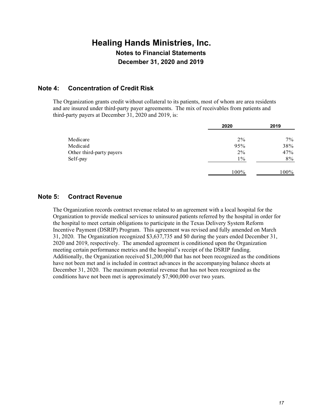### **Note 4: Concentration of Credit Risk**

The Organization grants credit without collateral to its patients, most of whom are area residents and are insured under third-party payer agreements. The mix of receivables from patients and third-party payers at December 31, 2020 and 2019, is:

|                          | 2020  | 2019  |
|--------------------------|-------|-------|
|                          |       |       |
| Medicare                 | 2%    | $7\%$ |
| Medicaid                 | 95%   | 38%   |
| Other third-party payers | 2%    | 47%   |
| Self-pay                 | $1\%$ | 8%    |
|                          | 100%  | 100%  |

### **Note 5: Contract Revenue**

The Organization records contract revenue related to an agreement with a local hospital for the Organization to provide medical services to uninsured patients referred by the hospital in order for the hospital to meet certain obligations to participate in the Texas Delivery System Reform Incentive Payment (DSRIP) Program. This agreement was revised and fully amended on March 31, 2020. The Organization recognized \$3,637,735 and \$0 during the years ended December 31, 2020 and 2019, respectively. The amended agreement is conditioned upon the Organization meeting certain performance metrics and the hospital's receipt of the DSRIP funding. Additionally, the Organization received \$1,200,000 that has not been recognized as the conditions have not been met and is included in contract advances in the accompanying balance sheets at December 31, 2020. The maximum potential revenue that has not been recognized as the conditions have not been met is approximately \$7,900,000 over two years.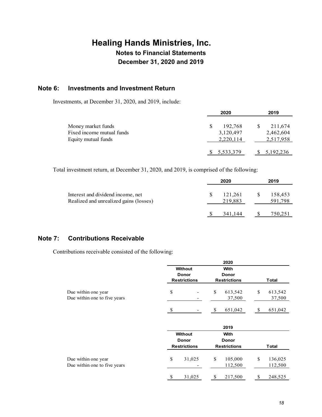### **Note 6: Investments and Investment Return**

Investments, at December 31, 2020, and 2019, include:

|                                                                        | 2020                              | 2019                              |  |
|------------------------------------------------------------------------|-----------------------------------|-----------------------------------|--|
| Money market funds<br>Fixed income mutual funds<br>Equity mutual funds | 192,768<br>3,120,497<br>2,220,114 | 211,674<br>2,462,604<br>2,517,958 |  |
|                                                                        | 5,533,379                         | \$5,192,236                       |  |

Total investment return, at December 31, 2020, and 2019, is comprised of the following:

|                                                                             | 2020 |                    | 2019 |                           |  |
|-----------------------------------------------------------------------------|------|--------------------|------|---------------------------|--|
| Interest and dividend income, net<br>Realized and unrealized gains (losses) | SS.  | 121,261<br>219,883 |      | 158,453<br>- S<br>591,798 |  |
|                                                                             |      | 341,144            |      | 750,251                   |  |

### **Note 7: Contributions Receivable**

Contributions receivable consisted of the following:

|                              |                     | 2020                |                          |
|------------------------------|---------------------|---------------------|--------------------------|
|                              | <b>Without</b>      | With                |                          |
|                              | <b>Donor</b>        | <b>Donor</b>        |                          |
|                              | <b>Restrictions</b> | <b>Restrictions</b> | Total                    |
| Due within one year          | \$                  | \$<br>613,542       | \$<br>613,542            |
| Due within one to five years |                     | 37,500              | 37,500                   |
|                              | -\$                 | \$<br>651,042       | 651,042<br><sup>\$</sup> |
|                              |                     | 2019                |                          |
|                              | <b>Without</b>      | With                |                          |
|                              | <b>Donor</b>        | <b>Donor</b>        |                          |
|                              | <b>Restrictions</b> | <b>Restrictions</b> | <b>Total</b>             |
| Due within one year          | \$<br>31,025        | \$<br>105,000       | \$<br>136,025            |
| Due within one to five years |                     | 112,500             | 112,500                  |
|                              | 31,025<br>\$        | 217,500<br>\$       | 248,525<br>\$            |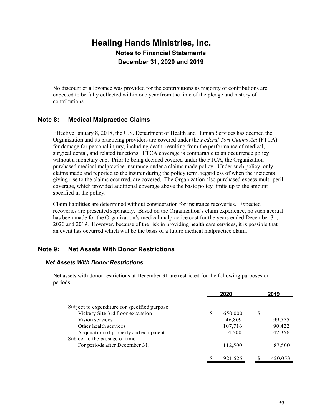No discount or allowance was provided for the contributions as majority of contributions are expected to be fully collected within one year from the time of the pledge and history of contributions.

#### **Note 8: Medical Malpractice Claims**

Effective January 8, 2018, the U.S. Department of Health and Human Services has deemed the Organization and its practicing providers are covered under the *Federal Tort Claims Act* (FTCA) for damage for personal injury, including death, resulting from the performance of medical, surgical dental, and related functions. FTCA coverage is comparable to an occurrence policy without a monetary cap. Prior to being deemed covered under the FTCA, the Organization purchased medical malpractice insurance under a claims made policy. Under such policy, only claims made and reported to the insurer during the policy term, regardless of when the incidents giving rise to the claims occurred, are covered. The Organization also purchased excess multi-peril coverage, which provided additional coverage above the basic policy limits up to the amount specified in the policy.

Claim liabilities are determined without consideration for insurance recoveries. Expected recoveries are presented separately. Based on the Organization's claim experience, no such accrual has been made for the Organization's medical malpractice cost for the years ended December 31, 2020 and 2019. However, because of the risk in providing health care services, it is possible that an event has occurred which will be the basis of a future medical malpractice claim.

#### **Note 9: Net Assets With Donor Restrictions**

#### *Net Assets With Donor Restrictions*

Net assets with donor restrictions at December 31 are restricted for the following purposes or periods:

|                                              |   | 2020    |   | 2019    |  |
|----------------------------------------------|---|---------|---|---------|--|
| Subject to expenditure for specified purpose |   |         |   |         |  |
| Vickery Site 3rd floor expansion             | S | 650,000 | S |         |  |
| Vision services                              |   | 46,809  |   | 99,775  |  |
| Other health services                        |   | 107,716 |   | 90,422  |  |
| Acquisition of property and equipment        |   | 4,500   |   | 42,356  |  |
| Subject to the passage of time               |   |         |   |         |  |
| For periods after December 31,               |   | 112,500 |   | 187,500 |  |
|                                              |   |         |   |         |  |
|                                              |   | 921.525 |   | 420.053 |  |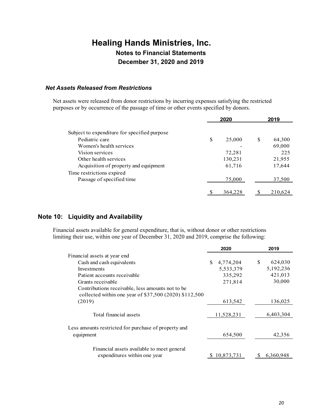#### *Net Assets Released from Restrictions*

Net assets were released from donor restrictions by incurring expenses satisfying the restricted purposes or by occurrence of the passage of time or other events specified by donors.

|                                              | 2020 |         |   | 2019    |
|----------------------------------------------|------|---------|---|---------|
| Subject to expenditure for specified purpose |      |         |   |         |
| Pediatric care                               | S    | 25,000  | S | 64,300  |
| Women's health services                      |      |         |   | 69,000  |
| Vision services                              |      | 72,281  |   | 225     |
| Other health services                        |      | 130,231 |   | 21,955  |
| Acquisition of property and equipment        |      | 61,716  |   | 17,644  |
| Time restrictions expired                    |      |         |   |         |
| Passage of specified time                    |      | 75,000  |   | 37,500  |
|                                              |      |         |   |         |
|                                              |      | 364.228 |   | 210.624 |

### **Note 10: Liquidity and Availability**

Financial assets available for general expenditure, that is, without donor or other restrictions limiting their use, within one year of December 31, 2020 and 2019, comprise the following:

|                                                                                                            | 2020             | 2019          |
|------------------------------------------------------------------------------------------------------------|------------------|---------------|
| Financial assets at year end                                                                               |                  |               |
| Cash and cash equivalents                                                                                  | \$.<br>4,774,204 | \$<br>624,030 |
| Investments                                                                                                | 5,533,379        | 5,192,236     |
| Patient accounts receivable                                                                                | 335,292          | 421,013       |
| Grants receivable                                                                                          | 271,814          | 30,000        |
| Contributions receivable, less amounts not to be<br>collected within one year of \$37,500 (2020) \$112,500 |                  |               |
| (2019)                                                                                                     | 613,542          | 136,025       |
| Total financial assets                                                                                     | 11,528,231       | 6,403,304     |
| Less amounts restricted for purchase of property and<br>equipment                                          | 654,500          | 42,356        |
| Financial assets available to meet general<br>expenditures within one year                                 | 10.873.731       | 6.360.948     |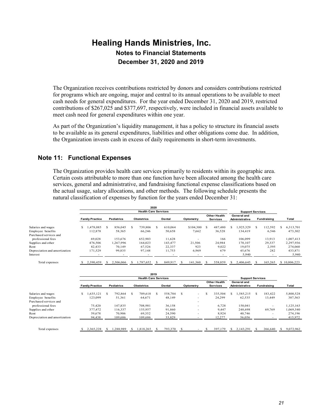The Organization receives contributions restricted by donors and considers contributions restricted for programs which are ongoing, major and central to its annual operations to be available to meet cash needs for general expenditures. For the year ended December 31, 2020 and 2019, restricted contributions of \$267,025 and \$377,697, respectively, were included in financial assets available to meet cash need for general expenditures within one year.

As part of the Organization's liquidity management, it has a policy to structure its financial assets to be available as its general expenditures, liabilities and other obligations come due. In addition, the Organization invests cash in excess of daily requirements in short-term investments.

#### **Note 11: Functional Expenses**

The Organization provides health care services primarily to residents within its geographic area. Certain costs attributable to more than one function have been allocated among the health care services, general and administrative, and fundraising functional expense classifications based on the actual usage, salary allocations, and other methods. The following schedule presents the natural classification of expenses by function for the years ended December 31:

|                               |   |                        |    |                   |          |                             | 2020 |         |              |                                        |    |                               |    |             |              |
|-------------------------------|---|------------------------|----|-------------------|----------|-----------------------------|------|---------|--------------|----------------------------------------|----|-------------------------------|----|-------------|--------------|
|                               |   |                        |    |                   |          | <b>Health Care Services</b> |      |         |              |                                        |    | <b>Support Services</b>       |    |             |              |
|                               |   | <b>Family Practice</b> |    | <b>Pediatrics</b> |          | <b>Obstetrics</b>           |      | Dental  | Optometry    | <b>Other Health</b><br><b>Services</b> |    | General and<br>Administrative |    | Fundraising | Total        |
| Salaries and wages            | S | .478.085               | S. | 856,045           | <b>S</b> | 739,806                     | S    | 610,064 | \$104,300 \$ | 487,480                                | £. | 1.925.329                     | S. | 112,592     | 6.313.701    |
| Employee benefits             |   | 112,878                |    | 58,365            |          | 66.246                      |      | 50.658  | 7.662        | 36,528                                 |    | 134,419                       |    | 6.546       | 473,302      |
| Purchased services and        |   |                        |    |                   |          |                             |      |         |              |                                        |    |                               |    |             |              |
| professional fees             |   | 69,028                 |    | 153,676           |          | 652.903                     |      | 11.628  |              | 166                                    |    | 106,099                       |    | 13.913      | 1.007.413    |
| Supplies and other            |   | 476,506                |    | 1,267,996         |          | 164,023                     |      | 143,477 | 21,506       | 24,984                                 |    | 170,107                       |    | 29,337      | 2,297,936    |
| Rent                          |   | 82,433                 |    | 70.149            |          | 67,526                      |      | 22,337  | 923          | 9.022                                  |    | 19,075                        |    | 2,595       | 274,060      |
| Depreciation and amortization |   | 171.529                |    | 99.835            |          | 97.148                      |      | 11,753  | 6.969        | 679                                    |    | 45,676                        |    | 282         | 433,871      |
| Interest                      |   |                        |    |                   |          |                             |      |         |              |                                        |    | 5,940                         |    |             | 5,940        |
| Total expenses                |   | 2,390,459              |    | 2.506.066         |          | 1,787,652                   |      | 849.917 | 141,360      | 558,859                                |    | 2.406.645                     |    | 165,265     | \$10,806,223 |

|                               |   |                        |   |                   |   |                             | 2019 |               |     |                          |                                        |   |                               |   |             |           |
|-------------------------------|---|------------------------|---|-------------------|---|-----------------------------|------|---------------|-----|--------------------------|----------------------------------------|---|-------------------------------|---|-------------|-----------|
|                               |   |                        |   |                   |   | <b>Health Care Services</b> |      |               |     |                          |                                        |   | <b>Support Services</b>       |   |             |           |
|                               |   | <b>Family Practice</b> |   | <b>Pediatrics</b> |   | <b>Obstetrics</b>           |      | <b>Dental</b> |     | Optometry                | <b>Other Health</b><br><b>Services</b> |   | General and<br>Administrative |   | Fundraising | Total     |
| Salaries and wages            | S | .635.121               | S | 792.864           | S | 709.618                     |      | 558,784       | - S | $\sim$                   | 335.504                                |   | .585.215                      | S | 183.422     | 5,800,528 |
| Employee benefits             |   | 123,099                |   | 51,361            |   | 64,671                      |      | 48,149        |     | $\sim$                   | 24,299                                 |   | 62,535                        |   | 13,449      | 387,563   |
| Purchased services and        |   |                        |   |                   |   |                             |      |               |     | $\overline{\phantom{a}}$ |                                        |   |                               |   |             |           |
| professional fees             |   | 75,420                 |   | 147,835           |   | 708.981                     |      | 36.158        |     | $\sim$                   | 6.728                                  |   | 150.041                       |   |             | 1,125,163 |
| Supplies and other            |   | 377,472                |   | 116.337           |   | 155,957                     |      | 91,860        |     | $\overline{\phantom{a}}$ | 9.447                                  |   | 248,698                       |   | 69,769      | 1,069,540 |
| Rent                          |   | 59,678                 |   | 70,906            |   | 69,352                      |      | 24,590        |     | $\sim$                   | 8.924                                  |   | 40,746                        |   | $\sim$      | 274,196   |
| Depreciation and amortization |   | 94,438                 |   | 109.686           |   | 109.686                     |      | 33,829        |     | $\overline{\phantom{0}}$ | 12,277                                 |   | 56,056                        |   |             | 415,972   |
|                               |   |                        |   |                   |   |                             |      |               |     |                          |                                        |   |                               |   |             |           |
| Total expenses                |   | 2,365,228              |   | ,288,989          |   | .818,265                    |      | 793,370       |     |                          | 397,179                                | S | 2,143,291                     |   | 266,640     | 9,072,962 |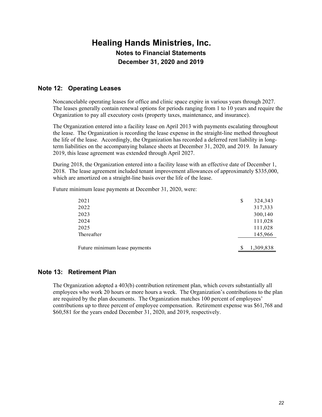### **Note 12: Operating Leases**

Noncancelable operating leases for office and clinic space expire in various years through 2027. The leases generally contain renewal options for periods ranging from 1 to 10 years and require the Organization to pay all executory costs (property taxes, maintenance, and insurance).

The Organization entered into a facility lease on April 2013 with payments escalating throughout the lease. The Organization is recording the lease expense in the straight-line method throughout the life of the lease. Accordingly, the Organization has recorded a deferred rent liability in longterm liabilities on the accompanying balance sheets at December 31, 2020, and 2019. In January 2019, this lease agreement was extended through April 2027.

During 2018, the Organization entered into a facility lease with an effective date of December 1, 2018. The lease agreement included tenant improvement allowances of approximately \$335,000, which are amortized on a straight-line basis over the life of the lease.

Future minimum lease payments at December 31, 2020, were:

| 2021                          | \$<br>324,343   |
|-------------------------------|-----------------|
| 2022                          | 317,333         |
| 2023                          | 300,140         |
| 2024                          | 111,028         |
| 2025                          | 111,028         |
| Thereafter                    | 145,966         |
| Future minimum lease payments | \$<br>1,309,838 |

### **Note 13: Retirement Plan**

The Organization adopted a 403(b) contribution retirement plan, which covers substantially all employees who work 20 hours or more hours a week. The Organization's contributions to the plan are required by the plan documents. The Organization matches 100 percent of employees' contributions up to three percent of employee compensation. Retirement expense was \$61,768 and \$60,581 for the years ended December 31, 2020, and 2019, respectively.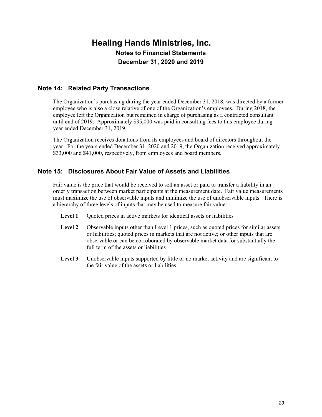### **Note 14: Related Party Transactions**

The Organization's purchasing during the year ended December 31, 2018, was directed by a former employee who is also a close relative of one of the Organization's employees. During 2018, the employee left the Organization but remained in charge of purchasing as a contracted consultant until end of 2019. Approximately \$35,000 was paid in consulting fees to this employee during year ended December 31, 2019.

The Organization receives donations from its employees and board of directors throughout the year. For the years ended December 31, 2020 and 2019, the Organization received approximately \$33,000 and \$41,000, respectively, from employees and board members.

### **Note 15: Disclosures About Fair Value of Assets and Liabilities**

Fair value is the price that would be received to sell an asset or paid to transfer a liability in an orderly transaction between market participants at the measurement date. Fair value measurements must maximize the use of observable inputs and minimize the use of unobservable inputs. There is a hierarchy of three levels of inputs that may be used to measure fair value:

- Level 1 Quoted prices in active markets for identical assets or liabilities
- Level 2 Observable inputs other than Level 1 prices, such as quoted prices for similar assets or liabilities; quoted prices in markets that are not active; or other inputs that are observable or can be corroborated by observable market data for substantially the full term of the assets or liabilities
- **Level 3** Unobservable inputs supported by little or no market activity and are significant to the fair value of the assets or liabilities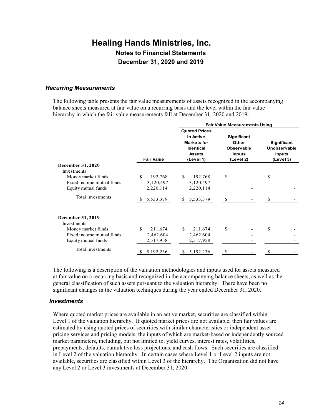#### *Recurring Measurements*

The following table presents the fair value measurements of assets recognized in the accompanying balance sheets measured at fair value on a recurring basis and the level within the fair value hierarchy in which the fair value measurements fall at December 31, 2020 and 2019:

|                                  |                   | <b>Fair Value Measurements Using</b>                                                                      |                                                                         |                                                                  |  |  |  |  |  |
|----------------------------------|-------------------|-----------------------------------------------------------------------------------------------------------|-------------------------------------------------------------------------|------------------------------------------------------------------|--|--|--|--|--|
|                                  | <b>Fair Value</b> | <b>Quoted Prices</b><br>in Active<br><b>Markets for</b><br><b>Identical</b><br><b>Assets</b><br>(Level 1) | <b>Significant</b><br>Other<br>Observable<br><b>Inputs</b><br>(Level 2) | <b>Significant</b><br>Unobservable<br><b>Inputs</b><br>(Level 3) |  |  |  |  |  |
| December 31, 2020                |                   |                                                                                                           |                                                                         |                                                                  |  |  |  |  |  |
| Investments                      |                   |                                                                                                           |                                                                         |                                                                  |  |  |  |  |  |
| Money market funds               | S<br>192,768      | \$<br>192,768                                                                                             | \$                                                                      | \$                                                               |  |  |  |  |  |
| Fixed income mutual funds        | 3,120,497         | 3,120,497                                                                                                 |                                                                         |                                                                  |  |  |  |  |  |
| Equity mutual funds              | 2,220,114         | 2,220,114                                                                                                 |                                                                         |                                                                  |  |  |  |  |  |
| Total investments                | 5,533,379         | 5,533,379<br>\$                                                                                           | \$                                                                      | S                                                                |  |  |  |  |  |
| December 31, 2019<br>Investments |                   |                                                                                                           |                                                                         |                                                                  |  |  |  |  |  |
| Money market funds               | \$.<br>211,674    | \$<br>211,674                                                                                             | \$                                                                      | \$                                                               |  |  |  |  |  |
| Fixed income mutual funds        | 2,462,604         | 2,462,604                                                                                                 |                                                                         |                                                                  |  |  |  |  |  |
| Equity mutual funds              | 2,517,958         | 2,517,958                                                                                                 |                                                                         |                                                                  |  |  |  |  |  |
| Total investments                | 5,192,236<br>S.   | 5,192,236<br>\$                                                                                           | \$                                                                      | \$                                                               |  |  |  |  |  |

The following is a description of the valuation methodologies and inputs used for assets measured at fair value on a recurring basis and recognized in the accompanying balance sheets, as well as the general classification of such assets pursuant to the valuation hierarchy. There have been no significant changes in the valuation techniques during the year ended December 31, 2020.

#### *Investments*

Where quoted market prices are available in an active market, securities are classified within Level 1 of the valuation hierarchy. If quoted market prices are not available, then fair values are estimated by using quoted prices of securities with similar characteristics or independent asset pricing services and pricing models, the inputs of which are market-based or independently sourced market parameters, including, but not limited to, yield curves, interest rates, volatilities, prepayments, defaults, cumulative loss projections, and cash flows. Such securities are classified in Level 2 of the valuation hierarchy. In certain cases where Level 1 or Level 2 inputs are not available, securities are classified within Level 3 of the hierarchy. The Organization did not have any Level 2 or Level 3 investments at December 31, 2020.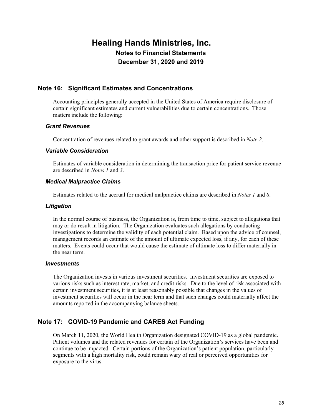### **Note 16: Significant Estimates and Concentrations**

Accounting principles generally accepted in the United States of America require disclosure of certain significant estimates and current vulnerabilities due to certain concentrations. Those matters include the following:

#### *Grant Revenues*

Concentration of revenues related to grant awards and other support is described in *Note 2*.

#### *Variable Consideration*

Estimates of variable consideration in determining the transaction price for patient service revenue are described in *Notes 1* and *3*.

#### *Medical Malpractice Claims*

Estimates related to the accrual for medical malpractice claims are described in *Notes 1* and *8*.

#### *Litigation*

In the normal course of business, the Organization is, from time to time, subject to allegations that may or do result in litigation. The Organization evaluates such allegations by conducting investigations to determine the validity of each potential claim. Based upon the advice of counsel, management records an estimate of the amount of ultimate expected loss, if any, for each of these matters. Events could occur that would cause the estimate of ultimate loss to differ materially in the near term.

#### *Investments*

The Organization invests in various investment securities. Investment securities are exposed to various risks such as interest rate, market, and credit risks. Due to the level of risk associated with certain investment securities, it is at least reasonably possible that changes in the values of investment securities will occur in the near term and that such changes could materially affect the amounts reported in the accompanying balance sheets.

### **Note 17: COVID-19 Pandemic and CARES Act Funding**

On March 11, 2020, the World Health Organization designated COVID-19 as a global pandemic. Patient volumes and the related revenues for certain of the Organization's services have been and continue to be impacted. Certain portions of the Organization's patient population, particularly segments with a high mortality risk, could remain wary of real or perceived opportunities for exposure to the virus.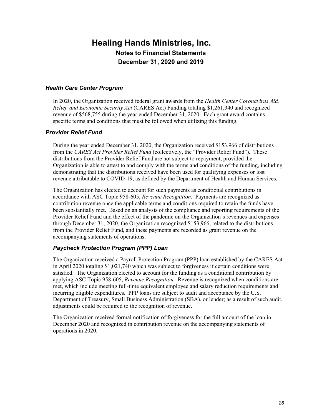#### *Health Care Center Program*

In 2020, the Organization received federal grant awards from the *Health Center Coronavirus Aid, Relief, and Economic Security Act* (CARES Act) Funding totaling \$1,261,340 and recognized revenue of \$568,755 during the year ended December 31, 2020. Each grant award contains specific terms and conditions that must be followed when utilizing this funding.

### *Provider Relief Fund*

During the year ended December 31, 2020, the Organization received \$153,966 of distributions from the *CARES Act Provider Relief Fund* (collectively, the "Provider Relief Fund"). These distributions from the Provider Relief Fund are not subject to repayment, provided the Organization is able to attest to and comply with the terms and conditions of the funding, including demonstrating that the distributions received have been used for qualifying expenses or lost revenue attributable to COVID-19, as defined by the Department of Health and Human Services.

The Organization has elected to account for such payments as conditional contributions in accordance with ASC Topic 958-605, *Revenue Recognition*. Payments are recognized as contribution revenue once the applicable terms and conditions required to retain the funds have been substantially met. Based on an analysis of the compliance and reporting requirements of the Provider Relief Fund and the effect of the pandemic on the Organization's revenues and expenses through December 31, 2020, the Organization recognized \$153,966, related to the distributions from the Provider Relief Fund, and these payments are recorded as grant revenue on the accompanying statements of operations.

### *Paycheck Protection Program (PPP) Loan*

The Organization received a Payroll Protection Program (PPP) loan established by the CARES Act in April 2020 totaling \$1,021,740 which was subject to forgiveness if certain conditions were satisfied. The Organization elected to account for the funding as a conditional contribution by applying ASC Topic 958-605, *Revenue Recognition*. Revenue is recognized when conditions are met, which include meeting full-time equivalent employee and salary reduction requirements and incurring eligible expenditures. PPP loans are subject to audit and acceptance by the U.S. Department of Treasury, Small Business Administration (SBA), or lender; as a result of such audit, adjustments could be required to the recognition of revenue.

The Organization received formal notification of forgiveness for the full amount of the loan in December 2020 and recognized in contribution revenue on the accompanying statements of operations in 2020.